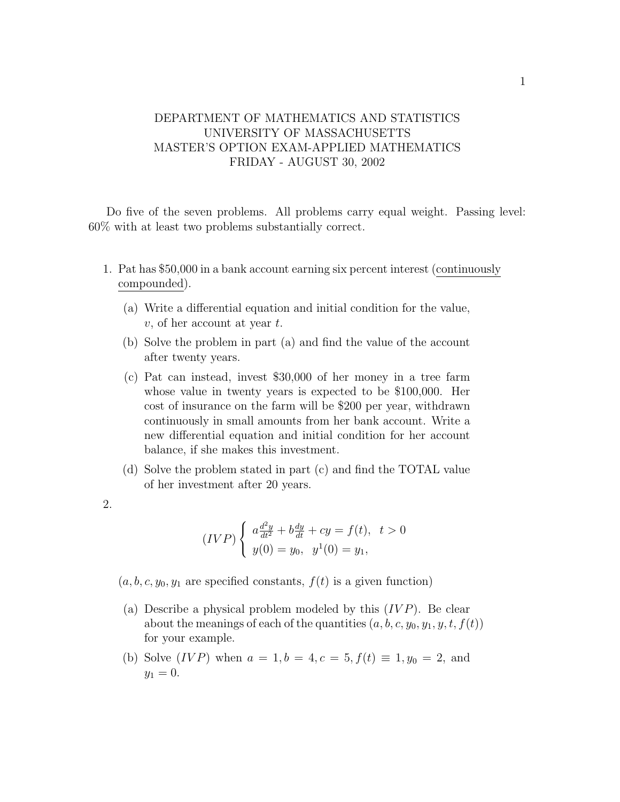## DEPARTMENT OF MATHEMATICS AND STATISTICS UNIVERSITY OF MASSACHUSETTS MASTER'S OPTION EXAM-APPLIED MATHEMATICS FRIDAY - AUGUST 30, 2002

Do five of the seven problems. All problems carry equal weight. Passing level: 60% with at least two problems substantially correct.

- 1. Pat has \$50,000 in a bank account earning six percent interest (continuously compounded).
	- (a) Write a differential equation and initial condition for the value,  $v$ , of her account at year  $t$ .
	- (b) Solve the problem in part (a) and find the value of the account after twenty years.
	- (c) Pat can instead, invest \$30,000 of her money in a tree farm whose value in twenty years is expected to be \$100,000. Her cost of insurance on the farm will be \$200 per year, withdrawn continuously in small amounts from her bank account. Write a new differential equation and initial condition for her account balance, if she makes this investment.
	- (d) Solve the problem stated in part (c) and find the TOTAL value of her investment after 20 years.
- 2.

$$
(IVP)\begin{cases} a\frac{d^2y}{dt^2} + b\frac{dy}{dt} + cy = f(t), & t > 0\\ y(0) = y_0, & y^1(0) = y_1, \end{cases}
$$

- $(a, b, c, y_0, y_1$  are specified constants,  $f(t)$  is a given function)
- (a) Describe a physical problem modeled by this  $(IVP)$ . Be clear about the meanings of each of the quantities  $(a, b, c, y_0, y_1, y, t, f(t))$ for your example.
- (b) Solve (*IVP*) when  $a = 1, b = 4, c = 5, f(t) \equiv 1, y_0 = 2$ , and  $y_1 = 0.$